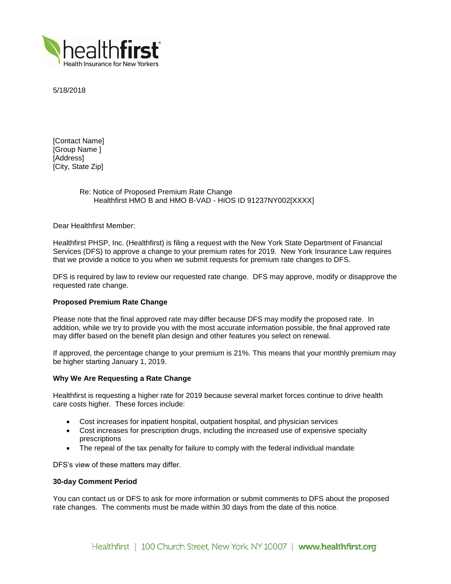

5/18/2018

[Contact Name] [Group Name ] [Address] [City, State Zip]

# Re: Notice of Proposed Premium Rate Change Healthfirst HMO B and HMO B-VAD - HIOS ID 91237NY002[XXXX]

Dear Healthfirst Member:

Healthfirst PHSP, Inc. (Healthfirst) is filing a request with the New York State Department of Financial Services (DFS) to approve a change to your premium rates for 2019. New York Insurance Law requires that we provide a notice to you when we submit requests for premium rate changes to DFS.

DFS is required by law to review our requested rate change. DFS may approve, modify or disapprove the requested rate change.

## **Proposed Premium Rate Change**

Please note that the final approved rate may differ because DFS may modify the proposed rate. In addition, while we try to provide you with the most accurate information possible, the final approved rate may differ based on the benefit plan design and other features you select on renewal.

If approved, the percentage change to your premium is 21%. This means that your monthly premium may be higher starting January 1, 2019.

### **Why We Are Requesting a Rate Change**

Healthfirst is requesting a higher rate for 2019 because several market forces continue to drive health care costs higher. These forces include:

- Cost increases for inpatient hospital, outpatient hospital, and physician services
- Cost increases for prescription drugs, including the increased use of expensive specialty prescriptions
- The repeal of the tax penalty for failure to comply with the federal individual mandate

DFS's view of these matters may differ.

### **30-day Comment Period**

You can contact us or DFS to ask for more information or submit comments to DFS about the proposed rate changes. The comments must be made within 30 days from the date of this notice.